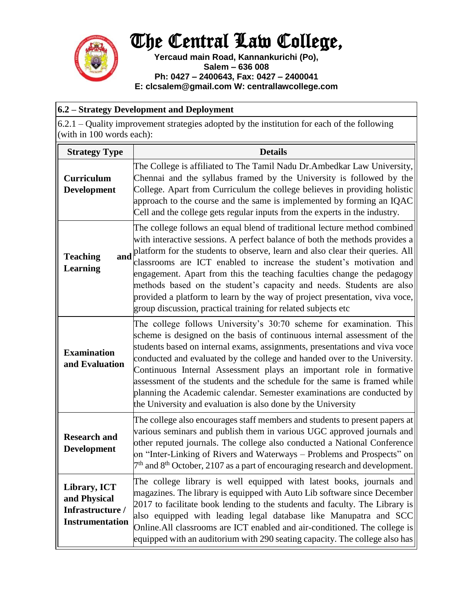## The Central Law College,



**Yercaud main Road, Kannankurichi (Po), Salem – 636 008 Ph: 0427 – 2400643, Fax: 0427 – 2400041 E: clcsalem@gmail.com W: centrallawcollege.com**

| 6.2 – Strategy Development and Deployment                                                                                |                                                                                                                                                                                                                                                                                                                                                                                                                                                                                                                                                                                                                    |  |
|--------------------------------------------------------------------------------------------------------------------------|--------------------------------------------------------------------------------------------------------------------------------------------------------------------------------------------------------------------------------------------------------------------------------------------------------------------------------------------------------------------------------------------------------------------------------------------------------------------------------------------------------------------------------------------------------------------------------------------------------------------|--|
| 6.2.1 – Quality improvement strategies adopted by the institution for each of the following<br>(with in 100 words each): |                                                                                                                                                                                                                                                                                                                                                                                                                                                                                                                                                                                                                    |  |
| <b>Strategy Type</b>                                                                                                     | <b>Details</b>                                                                                                                                                                                                                                                                                                                                                                                                                                                                                                                                                                                                     |  |
| <b>Curriculum</b><br>Development                                                                                         | The College is affiliated to The Tamil Nadu Dr. Ambedkar Law University,<br>Chennai and the syllabus framed by the University is followed by the<br>College. Apart from Curriculum the college believes in providing holistic<br>approach to the course and the same is implemented by forming an IQAC<br>Cell and the college gets regular inputs from the experts in the industry.                                                                                                                                                                                                                               |  |
| and<br><b>Teaching</b><br><b>Learning</b>                                                                                | The college follows an equal blend of traditional lecture method combined<br>with interactive sessions. A perfect balance of both the methods provides a<br>platform for the students to observe, learn and also clear their queries. All<br>classrooms are ICT enabled to increase the student's motivation and<br>engagement. Apart from this the teaching faculties change the pedagogy<br>methods based on the student's capacity and needs. Students are also<br>provided a platform to learn by the way of project presentation, viva voce,<br>group discussion, practical training for related subjects etc |  |
| <b>Examination</b><br>and Evaluation                                                                                     | The college follows University's 30:70 scheme for examination. This<br>scheme is designed on the basis of continuous internal assessment of the<br>students based on internal exams, assignments, presentations and viva voce<br>conducted and evaluated by the college and handed over to the University.<br>Continuous Internal Assessment plays an important role in formative<br>assessment of the students and the schedule for the same is framed while<br>planning the Academic calendar. Semester examinations are conducted by<br>the University and evaluation is also done by the University            |  |
| <b>Research and</b><br><b>Development</b>                                                                                | The college also encourages staff members and students to present papers at<br>various seminars and publish them in various UGC approved journals and<br>other reputed journals. The college also conducted a National Conference<br>on "Inter-Linking of Rivers and Waterways – Problems and Prospects" on<br>$7th$ and $8th$ October, 2107 as a part of encouraging research and development.                                                                                                                                                                                                                    |  |
| Library, ICT<br>and Physical<br>Infrastructure /<br><b>Instrumentation</b>                                               | The college library is well equipped with latest books, journals and<br>magazines. The library is equipped with Auto Lib software since December<br>2017 to facilitate book lending to the students and faculty. The Library is<br>also equipped with leading legal database like Manupatra and SCC<br>Online. All classrooms are ICT enabled and air-conditioned. The college is<br>equipped with an auditorium with 290 seating capacity. The college also has                                                                                                                                                   |  |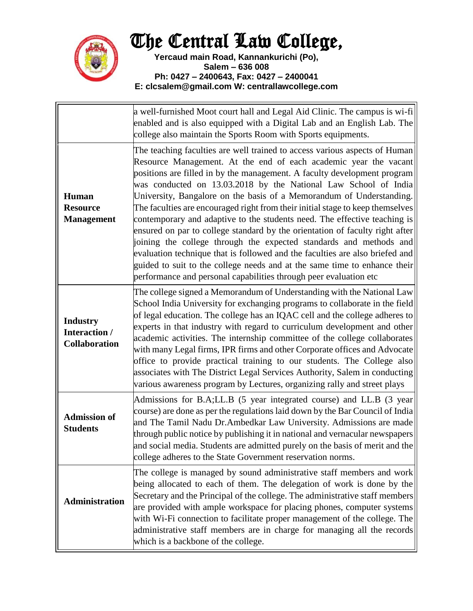

## The Central Law College,

**Yercaud main Road, Kannankurichi (Po), Salem – 636 008 Ph: 0427 – 2400643, Fax: 0427 – 2400041 E: clcsalem@gmail.com W: centrallawcollege.com**

|                                                          | a well-furnished Moot court hall and Legal Aid Clinic. The campus is wi-fi<br>enabled and is also equipped with a Digital Lab and an English Lab. The<br>college also maintain the Sports Room with Sports equipments.                                                                                                                                                                                                                                                                                                                                                                                                                                                                                                                                                                                                                                                                                                       |
|----------------------------------------------------------|------------------------------------------------------------------------------------------------------------------------------------------------------------------------------------------------------------------------------------------------------------------------------------------------------------------------------------------------------------------------------------------------------------------------------------------------------------------------------------------------------------------------------------------------------------------------------------------------------------------------------------------------------------------------------------------------------------------------------------------------------------------------------------------------------------------------------------------------------------------------------------------------------------------------------|
| Human<br><b>Resource</b><br><b>Management</b>            | The teaching faculties are well trained to access various aspects of Human<br>Resource Management. At the end of each academic year the vacant<br>positions are filled in by the management. A faculty development program<br>was conducted on 13.03.2018 by the National Law School of India<br>University, Bangalore on the basis of a Memorandum of Understanding.<br>The faculties are encouraged right from their initial stage to keep themselves<br>contemporary and adaptive to the students need. The effective teaching is<br>ensured on par to college standard by the orientation of faculty right after<br>joining the college through the expected standards and methods and<br>evaluation technique that is followed and the faculties are also briefed and<br>guided to suit to the college needs and at the same time to enhance their<br>performance and personal capabilities through peer evaluation etc |
| <b>Industry</b><br>Interaction /<br><b>Collaboration</b> | The college signed a Memorandum of Understanding with the National Law<br>School India University for exchanging programs to collaborate in the field<br>of legal education. The college has an IQAC cell and the college adheres to<br>experts in that industry with regard to curriculum development and other<br>academic activities. The internship committee of the college collaborates<br>with many Legal firms, IPR firms and other Corporate offices and Advocate<br>office to provide practical training to our students. The College also<br>associates with The District Legal Services Authority, Salem in conducting<br>various awareness program by Lectures, organizing rally and street plays                                                                                                                                                                                                               |
| <b>Admission of</b><br><b>Students</b>                   | Admissions for B.A;LL.B (5 year integrated course) and LL.B (3 year<br>course) are done as per the regulations laid down by the Bar Council of India<br>and The Tamil Nadu Dr. Ambedkar Law University. Admissions are made<br>through public notice by publishing it in national and vernacular newspapers<br>and social media. Students are admitted purely on the basis of merit and the<br>college adheres to the State Government reservation norms.                                                                                                                                                                                                                                                                                                                                                                                                                                                                    |
| <b>Administration</b>                                    | The college is managed by sound administrative staff members and work<br>being allocated to each of them. The delegation of work is done by the<br>Secretary and the Principal of the college. The administrative staff members<br>are provided with ample workspace for placing phones, computer systems<br>with Wi-Fi connection to facilitate proper management of the college. The<br>administrative staff members are in charge for managing all the records<br>which is a backbone of the college.                                                                                                                                                                                                                                                                                                                                                                                                                     |